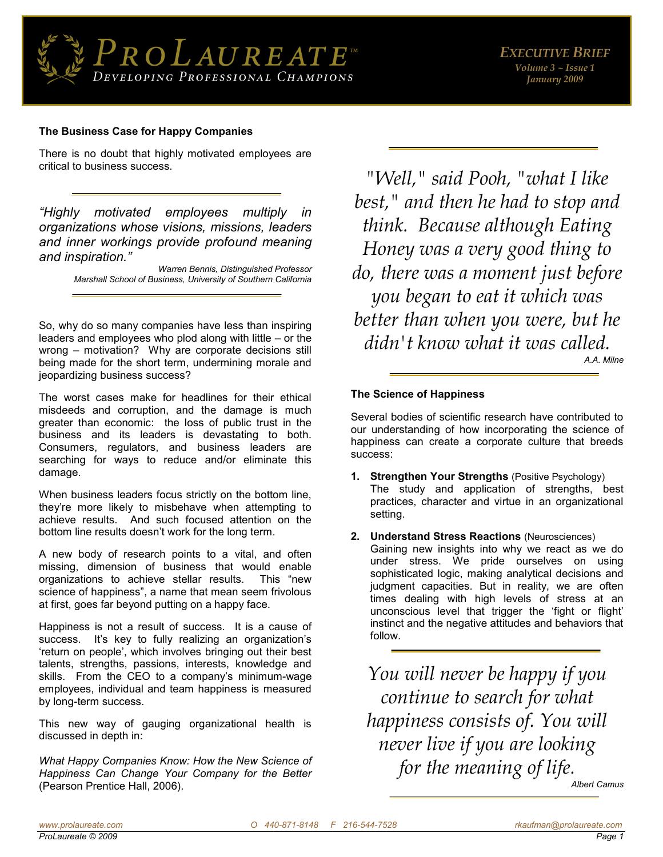

# **The Business Case for Happy Companies**

There is no doubt that highly motivated employees are critical to business success.

*"Highly motivated employees multiply in organizations whose visions, missions, leaders and inner workings provide profound meaning and inspiration."*

> *Warren Bennis, Distinguished Professor Marshall School of Business, University of Southern California*

So, why do so many companies have less than inspiring leaders and employees who plod along with little – or the wrong – motivation? Why are corporate decisions still being made for the short term, undermining morale and jeopardizing business success?

The worst cases make for headlines for their ethical misdeeds and corruption, and the damage is much greater than economic: the loss of public trust in the business and its leaders is devastating to both. Consumers, regulators, and business leaders are searching for ways to reduce and/or eliminate this damage.

When business leaders focus strictly on the bottom line, they're more likely to misbehave when attempting to achieve results. And such focused attention on the bottom line results doesn't work for the long term.

A new body of research points to a vital, and often missing, dimension of business that would enable organizations to achieve stellar results. This "new science of happiness", a name that mean seem frivolous at first, goes far beyond putting on a happy face.

Happiness is not a result of success. It is a cause of success. It's key to fully realizing an organization's 'return on people', which involves bringing out their best talents, strengths, passions, interests, knowledge and skills. From the CEO to a company's minimum-wage employees, individual and team happiness is measured by long-term success.

This new way of gauging organizational health is discussed in depth in:

*What Happy Companies Know: How the New Science of Happiness Can Change Your Company for the Better*  (Pearson Prentice Hall, 2006).

*"Well," said Pooh, "what I like best," and then he had to stop and think. Because although Eating Honey was a very good thing to do, there was a moment just before you began to eat it which was better than when you were, but he didn't know what it was called. A.A. Milne* 

#### **The Science of Happiness**

Several bodies of scientific research have contributed to our understanding of how incorporating the science of happiness can create a corporate culture that breeds success:

- **1. Strengthen Your Strengths** (Positive Psychology) The study and application of strengths, best practices, character and virtue in an organizational setting.
- **2. Understand Stress Reactions** (Neurosciences) Gaining new insights into why we react as we do under stress. We pride ourselves on using sophisticated logic, making analytical decisions and judgment capacities. But in reality, we are often times dealing with high levels of stress at an unconscious level that trigger the 'fight or flight' instinct and the negative attitudes and behaviors that follow.

*You will never be happy if you continue to search for what happiness consists of. You will never live if you are looking for the meaning of life. Albert Camus*